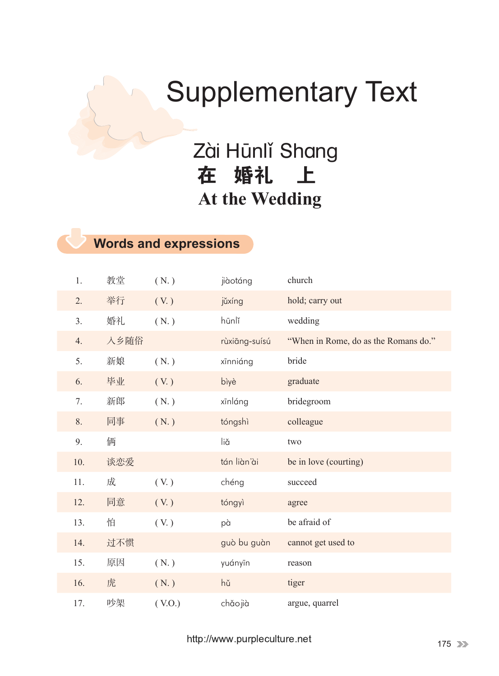## Supplementary Text

 Zài Hūnlǐ Shang 在 婚礼 上 **At the Wedding**

## **Words and expressions**

| 1.  | 教堂   | (N.)          | jiàotáng      | church                               |
|-----|------|---------------|---------------|--------------------------------------|
| 2.  | 举行   | (V. )         | jǔxíng        | hold; carry out                      |
| 3.  | 婚礼   | (N.)          | hūnlǐ         | wedding                              |
| 4.  | 入乡随俗 |               | rùxiāng-suísú | "When in Rome, do as the Romans do." |
| 5.  | 新娘   | (N.)          | xīnniáng      | bride                                |
| 6.  | 毕业   | (V. )         | bìyè          | graduate                             |
| 7.  | 新郎   | (N.)          | xīnláng       | bridegroom                           |
| 8.  | 同事   | (N.)          | tóngshì       | colleague                            |
| 9.  | 俩    |               | liă           | two                                  |
| 10. | 谈恋爱  |               | tán liàn'ài   | be in love (courting)                |
| 11. | 成    | (V. )         | chéng         | succeed                              |
| 12. | 同意   | $(V_{\cdot})$ | tóngyì        | agree                                |
| 13. | 怕    | (V. )         | pà            | be afraid of                         |
| 14. | 过不惯  |               | guò bu guàn   | cannot get used to                   |
| 15. | 原因   | (N.)          | yuányīn       | reason                               |
| 16. | 虎    | (N.)          | hŭ            | tiger                                |
| 17. | 吵架   | (V.O.)        | chǎojià       | argue, quarrel                       |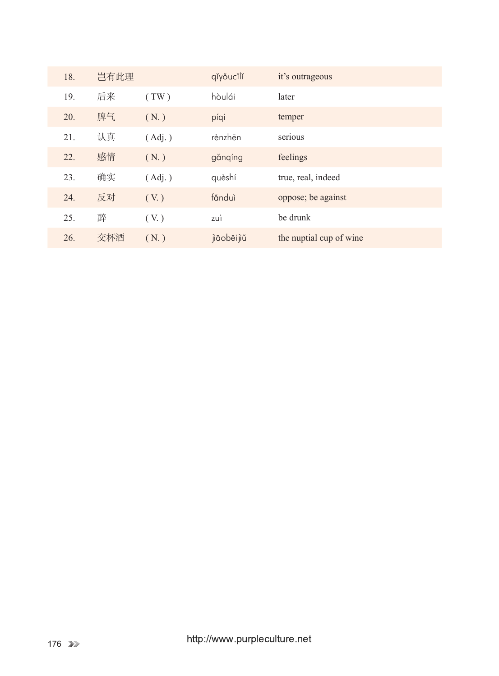| 18. | 岂有此理 |        | qĭyǒucĭlĭ   | it's outrageous         |
|-----|------|--------|-------------|-------------------------|
| 19. | 后来   | (TW)   | hòulái      | later                   |
| 20. | 脾气   | (N.)   | píqi        | temper                  |
| 21. | 认真   | (Adj.) | rènzhēn     | serious                 |
| 22. | 感情   | (N.)   | gǎnqíng     | feelings                |
| 23. | 确实   | (Adj.) | quèshí      | true, real, indeed      |
| 24. | 反对   | (V. )  | fǎnduì      | oppose; be against      |
| 25. | 醉    | (V. )  | zuì         | be drunk                |
| 26. | 交杯酒  | (N.)   | jiāobēi jiǔ | the nuptial cup of wine |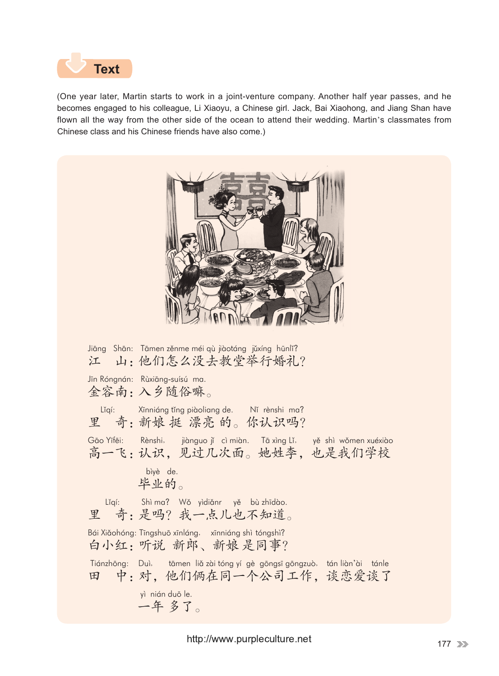

(One year later, Martin starts to work in a joint-venture company. Another half year passes, and he becomes engaged to his colleague, Li Xiaoyu, a Chinese girl. Jack, Bai Xiaohong, and Jiang Shan have flown all the way from the other side of the ocean to attend their wedding. Martin's classmates from Chinese class and his Chinese friends have also come.)

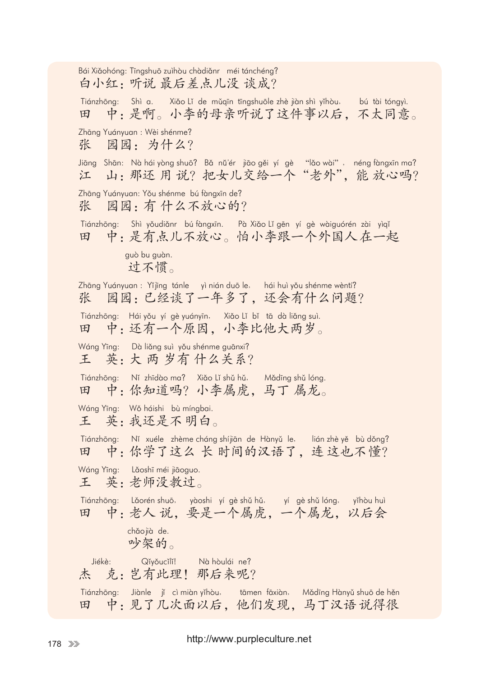Bái Xiǎohóng: Tīngshuō zuìhòu chàdiǎnr méi tánchéng? 白小红:听说 最后差点儿没 谈成? Tiánzhōng: Shì a. Xiǎo Lǐ de mǔqīn tīngshuōle zhè jiàn shì yǐhòu, bú tài tóngyì. 田 中:是啊。小李的母亲听说了这件事以后,不太同意。 Zhāng Yuányuan : Wèi shénme? 张 园园: 为什么? Jiāng Shān: Nà hái yòng shuō? Bǎ nǔ'ér jiāo gěi yí gè "lǎo wài", néng fàngxīn ma? 江 山:那还用说?把女儿交给一个"老外",能放心吗? Zhāng Yuányuan: Yǒu shénme bú fàngxīn de? 张 园园: 有什么不放心的? Tiánzhōng: Shì yǒudiǎnr bú fàngxīn. Pà Xiǎo Lǐ gēn yí gè wàiguórén zài yìqǐ 田 中:是有点儿不放心。怕小李跟一个外国人在一起 guò bu guàn. 过不惯。 Zhāng Yuányuan : Yǐjīng tánle yì nián duō le, hái huì yǒu shénme wèntí? 张 园园:已经谈了一年多了,还会有什么问题? Tiánzhōng: Hái yǒu yí gè yuányīn, Xiǎo Lǐ bǐ tā dà liǎng suì. 田 中:还有一个原因,小李比他大两岁。 Wáng Yīng: Dà liǎng suì yǒu shénme guānxi? 王 英:大 两 岁有 什么关系? Tiánzhōng: Nǐ zhīdào ma? Xiǎo Lǐ shǔ hǔ, Mǎdīng shǔ lóng. 田 中:你知道吗?小李属虎,马丁 属龙。 Wáng Yīng: Wǒ háishi bù míngbai. 王 英:我还是不 明白。 Tiánzhōng: Nǐ xuéle zhème cháng shíjiān de Hànyǔ le, lián zhè yě bù dǒng? 田 中:你学了这么长时间的汉语了,连这也不懂? Wáng Yīng: Lǎoshī méi jiāoguo. 王 英:老师没教过。 Tiánzhōng: Lǎorén shuō, yàoshi yí gè shǔ hǔ, yí gè shǔ lóng, yǐhòu huì 田 中:老人 说,要是一个属虎,一个属龙,以后会 chǎojià de. 吵架的。 Jiékè: Qǐyǒucǐlǐ! Nà hòulái ne? 杰 克:岂有此理!那后来呢? Tiánzhōng: Jiànle jí cì miàn yǐhòu, tāmen fāxiàn, Mǎdīng Hànyǔ shuō de hěn 田 中:见了几次面以后,他们发现,马丁汉语说得很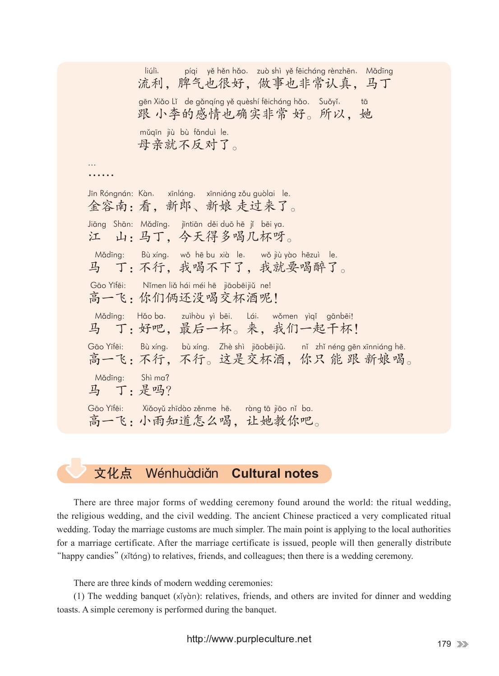liúlì, píqi yě hěn hǎo, zuò shì yě fēicháng rènzhēn, Mǎdīng 流利,脾气也很好,做事也非常认真,马丁 gēn Xiǎo Lǐ de gǎnqíng yě quèshí fēicháng hǎo. Suǒyǐ, tā 跟 小李的感情也确实非常 好。所以,她 mǔqīn jiù bù fǎnduì le. 母亲就不反对了。 … ……… Jīn Róngnán: Kàn, xīnláng, xīnniáng zǒu guòlai le. 金容南:看,新郎、新娘 走过来了。 Jiāng Shān: Mǎdīng, jīntiān děi duō hē jí bēi ya. 江 山:马丁,今天得多喝几杯呀。 Mădīng: Bù xíng, wǒ hē bu xià le, wǒ jiù yào hēzuì le. 马 丁:不行,我喝不下了,我就要喝醉了。 Gāo Yīfēi: Nǐmen liǎ hái méi hē jiāobēijiǔ ne| 高一飞:你们俩还没喝交杯酒呢! Mǎdīng: Hǎo ba, zuìhòu yì bēi. Lái, wǒmen yìqǐ gānbēi! 马 丁:好吧,最后一杯。来,我们一起干杯! Gāo Yīfēi: Bù xíng, bù xíng. Zhè shì jiāobēijiǔ, nǐ zhǐ néng gēn xīnniáng hē. 高一飞:不行,不行。这是交杯酒,你只 能 跟 新娘喝。 Mǎdīng: Shì ma? 马 丁:是吗? Gāo Yīfēi: Xiǎoyǔ zhīdào zěnme hē, ràng tā jiāo nǐ ba. 高一飞:小雨知道怎么喝,让她教你吧。

## 文化点 Wénhuàdiǎn **Cultural notes**

There are three major forms of wedding ceremony found around the world: the ritual wedding, the religious wedding, and the civil wedding. The ancient Chinese practiced a very complicated ritual wedding. Today the marriage customs are much simpler. The main point is applying to the local authorities for a marriage certificate. After the marriage certificate is issued, people will then generally distribute "happy candies"(xǐtáng) to relatives, friends, and colleagues; then there is a wedding ceremony.

There are three kinds of modern wedding ceremonies:

(1) The wedding banquet (xǐyàn): relatives, friends, and others are invited for dinner and wedding toasts. A simple ceremony is performed during the banquet.